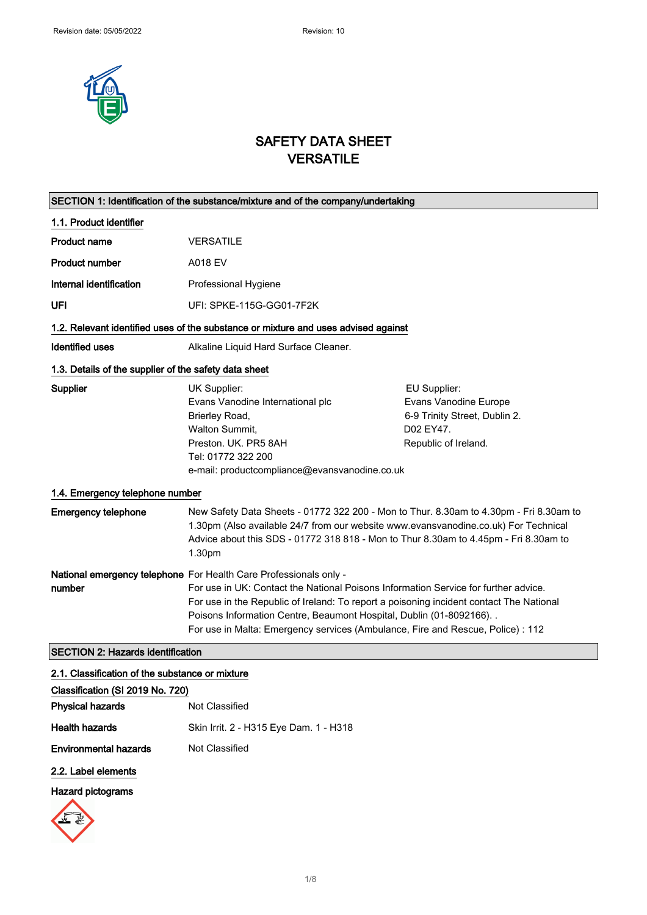

# SAFETY DATA SHEET VERSATILE

 $\overline{\phantom{0}}$ 

 $\mathbb{R}^n$ 

| SECTION 1: Identification of the substance/mixture and of the company/undertaking  |                                                                                                                                                                                                                                                                                                                                                                                                                 |                                                                                                             |
|------------------------------------------------------------------------------------|-----------------------------------------------------------------------------------------------------------------------------------------------------------------------------------------------------------------------------------------------------------------------------------------------------------------------------------------------------------------------------------------------------------------|-------------------------------------------------------------------------------------------------------------|
| 1.1. Product identifier                                                            |                                                                                                                                                                                                                                                                                                                                                                                                                 |                                                                                                             |
| Product name                                                                       | <b>VERSATILE</b>                                                                                                                                                                                                                                                                                                                                                                                                |                                                                                                             |
| <b>Product number</b>                                                              | A018 EV                                                                                                                                                                                                                                                                                                                                                                                                         |                                                                                                             |
| Internal identification                                                            | Professional Hygiene                                                                                                                                                                                                                                                                                                                                                                                            |                                                                                                             |
| UFI                                                                                | UFI: SPKE-115G-GG01-7F2K                                                                                                                                                                                                                                                                                                                                                                                        |                                                                                                             |
| 1.2. Relevant identified uses of the substance or mixture and uses advised against |                                                                                                                                                                                                                                                                                                                                                                                                                 |                                                                                                             |
| <b>Identified uses</b>                                                             | Alkaline Liquid Hard Surface Cleaner.                                                                                                                                                                                                                                                                                                                                                                           |                                                                                                             |
| 1.3. Details of the supplier of the safety data sheet                              |                                                                                                                                                                                                                                                                                                                                                                                                                 |                                                                                                             |
| Supplier                                                                           | UK Supplier:<br>Evans Vanodine International plc<br>Brierley Road,<br>Walton Summit,<br>Preston, UK. PR5 8AH<br>Tel: 01772 322 200<br>e-mail: productcompliance@evansvanodine.co.uk                                                                                                                                                                                                                             | EU Supplier:<br>Evans Vanodine Europe<br>6-9 Trinity Street, Dublin 2.<br>D02 EY47.<br>Republic of Ireland. |
| 1.4. Emergency telephone number                                                    |                                                                                                                                                                                                                                                                                                                                                                                                                 |                                                                                                             |
| <b>Emergency telephone</b>                                                         | New Safety Data Sheets - 01772 322 200 - Mon to Thur. 8.30am to 4.30pm - Fri 8.30am to<br>1.30pm (Also available 24/7 from our website www.evansvanodine.co.uk) For Technical<br>Advice about this SDS - 01772 318 818 - Mon to Thur 8.30am to 4.45pm - Fri 8.30am to<br>1.30pm                                                                                                                                 |                                                                                                             |
| number                                                                             | National emergency telephone For Health Care Professionals only -<br>For use in UK: Contact the National Poisons Information Service for further advice.<br>For use in the Republic of Ireland: To report a poisoning incident contact The National<br>Poisons Information Centre, Beaumont Hospital, Dublin (01-8092166). .<br>For use in Malta: Emergency services (Ambulance, Fire and Rescue, Police) : 112 |                                                                                                             |
| <b>SECTION 2: Hazards identification</b>                                           |                                                                                                                                                                                                                                                                                                                                                                                                                 |                                                                                                             |
| 2.1. Classification of the substance or mixture                                    |                                                                                                                                                                                                                                                                                                                                                                                                                 |                                                                                                             |

| Classification (SI 2019 No. 720) |                                        |
|----------------------------------|----------------------------------------|
| <b>Physical hazards</b>          | Not Classified                         |
| <b>Health hazards</b>            | Skin Irrit. 2 - H315 Eye Dam. 1 - H318 |
| <b>Environmental hazards</b>     | Not Classified                         |
| 2.2. Label elements              |                                        |

# Hazard pictograms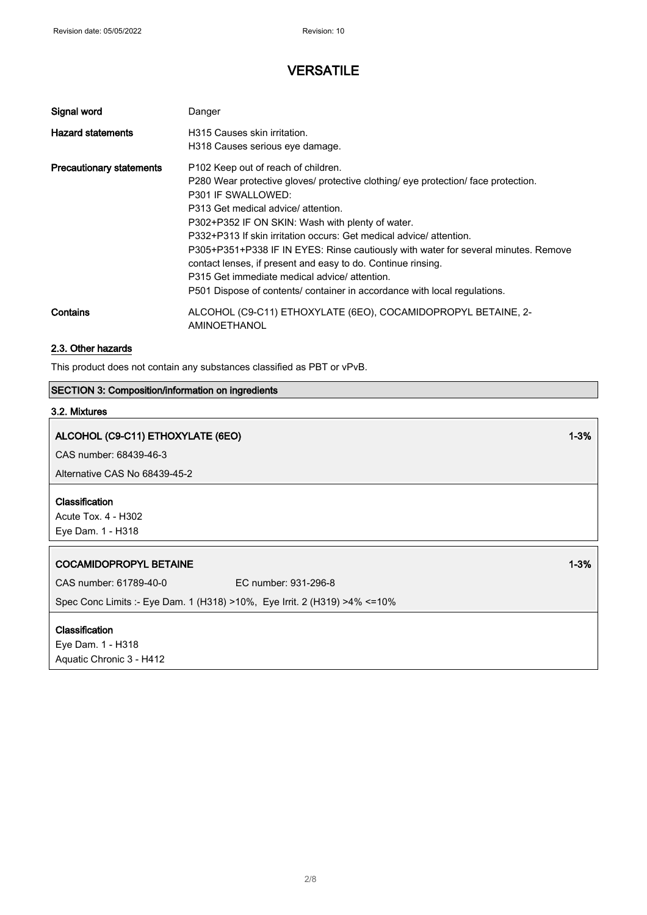| Signal word                     | Danger                                                                                                                                                                                                                                                                                                                                                                                                                                                                                                                         |
|---------------------------------|--------------------------------------------------------------------------------------------------------------------------------------------------------------------------------------------------------------------------------------------------------------------------------------------------------------------------------------------------------------------------------------------------------------------------------------------------------------------------------------------------------------------------------|
| <b>Hazard statements</b>        | H315 Causes skin irritation.                                                                                                                                                                                                                                                                                                                                                                                                                                                                                                   |
|                                 | H318 Causes serious eye damage.                                                                                                                                                                                                                                                                                                                                                                                                                                                                                                |
| <b>Precautionary statements</b> | P102 Keep out of reach of children.<br>P280 Wear protective gloves/ protective clothing/ eye protection/ face protection.<br><b>P301 IF SWALLOWED:</b><br>P313 Get medical advice/ attention.<br>P302+P352 IF ON SKIN: Wash with plenty of water.<br>P332+P313 If skin irritation occurs: Get medical advice/ attention.<br>P305+P351+P338 IF IN EYES: Rinse cautiously with water for several minutes. Remove<br>contact lenses, if present and easy to do. Continue rinsing.<br>P315 Get immediate medical advice/attention. |
|                                 | P501 Dispose of contents/ container in accordance with local regulations.                                                                                                                                                                                                                                                                                                                                                                                                                                                      |
| Contains                        | ALCOHOL (C9-C11) ETHOXYLATE (6EO), COCAMIDOPROPYL BETAINE, 2-<br>AMINOETHANOL                                                                                                                                                                                                                                                                                                                                                                                                                                                  |

# 2.3. Other hazards

This product does not contain any substances classified as PBT or vPvB.

# SECTION 3: Composition/information on ingredients

# 3.2. Mixtures

| ALCOHOL (C9-C11) ETHOXYLATE (6EO)                                          |                      | $1 - 3%$ |
|----------------------------------------------------------------------------|----------------------|----------|
| CAS number: 68439-46-3                                                     |                      |          |
| Alternative CAS No 68439-45-2                                              |                      |          |
| Classification<br>Acute Tox. 4 - H302<br>Eye Dam. 1 - H318                 |                      |          |
| <b>COCAMIDOPROPYL BETAINE</b>                                              |                      | $1 - 3%$ |
| CAS number: 61789-40-0                                                     | EC number: 931-296-8 |          |
| Spec Conc Limits :- Eye Dam. 1 (H318) >10%, Eye Irrit. 2 (H319) >4% <= 10% |                      |          |
| Classification<br>Eye Dam. 1 - H318                                        |                      |          |
| Aquatic Chronic 3 - H412                                                   |                      |          |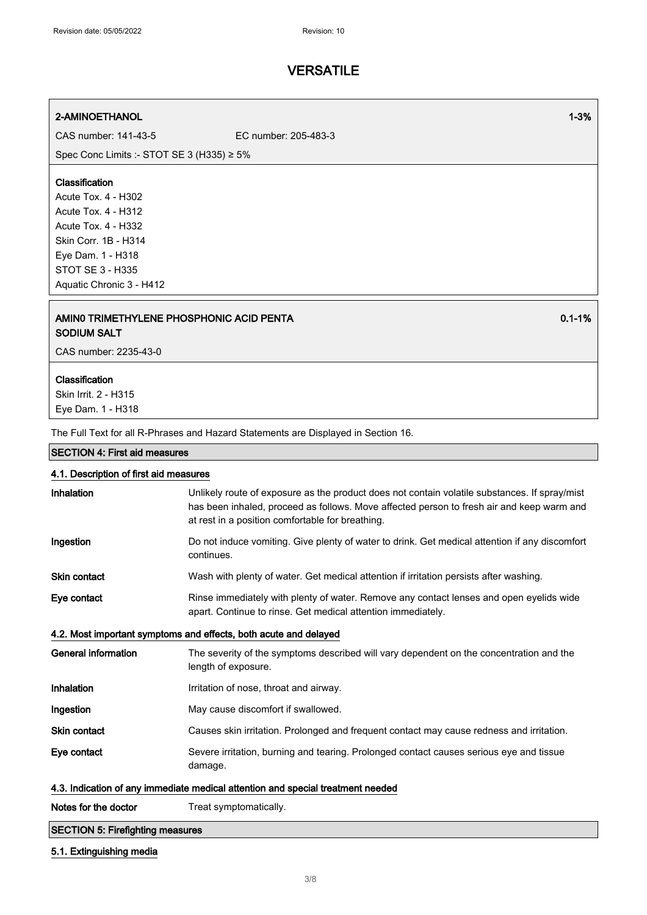### 2-AMINOETHANOL 1-3%

CAS number: 141-43-5 EC number: 205-483-3

Spec Conc Limits :- STOT SE 3 (H335) ≥ 5%

### Classification

Acute Tox. 4 - H302 Acute Tox. 4 - H312 Acute Tox. 4 - H332 Skin Corr. 1B - H314 Eye Dam. 1 - H318 STOT SE 3 - H335 Aquatic Chronic 3 - H412

### AMIN0 TRIMETHYLENE PHOSPHONIC ACID PENTA SODIUM SALT

CAS number: 2235-43-0

### Classification

Skin Irrit. 2 - H315 Eye Dam. 1 - H318

The Full Text for all R-Phrases and Hazard Statements are Displayed in Section 16.

#### SECTION 4: First aid measures

## 4.1. Description of first aid measures

| Inhalation                                                                      | Unlikely route of exposure as the product does not contain volatile substances. If spray/mist<br>has been inhaled, proceed as follows. Move affected person to fresh air and keep warm and<br>at rest in a position comfortable for breathing. |  |
|---------------------------------------------------------------------------------|------------------------------------------------------------------------------------------------------------------------------------------------------------------------------------------------------------------------------------------------|--|
| Ingestion                                                                       | Do not induce vomiting. Give plenty of water to drink. Get medical attention if any discomfort<br>continues.                                                                                                                                   |  |
| <b>Skin contact</b>                                                             | Wash with plenty of water. Get medical attention if irritation persists after washing.                                                                                                                                                         |  |
| Eye contact                                                                     | Rinse immediately with plenty of water. Remove any contact lenses and open eyelids wide<br>apart. Continue to rinse. Get medical attention immediately.                                                                                        |  |
| 4.2. Most important symptoms and effects, both acute and delayed                |                                                                                                                                                                                                                                                |  |
| <b>General information</b>                                                      | The severity of the symptoms described will vary dependent on the concentration and the<br>length of exposure.                                                                                                                                 |  |
| Inhalation                                                                      | Irritation of nose, throat and airway.                                                                                                                                                                                                         |  |
| Ingestion                                                                       | May cause discomfort if swallowed.                                                                                                                                                                                                             |  |
| <b>Skin contact</b>                                                             | Causes skin irritation. Prolonged and frequent contact may cause redness and irritation.                                                                                                                                                       |  |
| Eye contact                                                                     | Severe irritation, burning and tearing. Prolonged contact causes serious eye and tissue<br>damage.                                                                                                                                             |  |
| 4.3. Indication of any immediate medical attention and special treatment needed |                                                                                                                                                                                                                                                |  |
| Notes for the doctor                                                            | Treat symptomatically.                                                                                                                                                                                                                         |  |
| <b>SECTION 5: Firefighting measures</b>                                         |                                                                                                                                                                                                                                                |  |

### 5.1. Extinguishing media

0.1-1%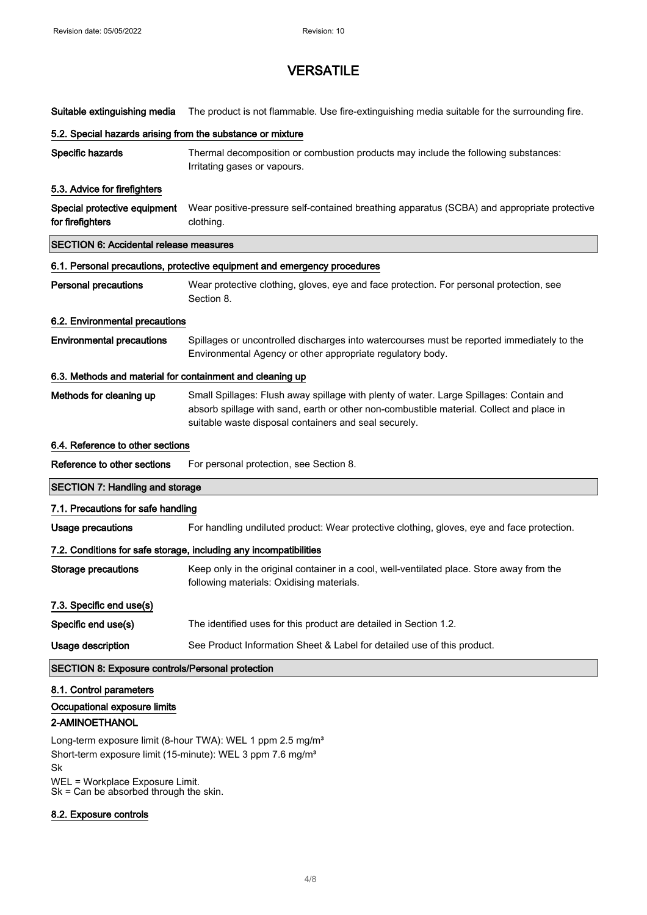| Suitable extinguishing media                                      | The product is not flammable. Use fire-extinguishing media suitable for the surrounding fire.                                                                                                                                                |  |
|-------------------------------------------------------------------|----------------------------------------------------------------------------------------------------------------------------------------------------------------------------------------------------------------------------------------------|--|
| 5.2. Special hazards arising from the substance or mixture        |                                                                                                                                                                                                                                              |  |
| Specific hazards                                                  | Thermal decomposition or combustion products may include the following substances:<br>Irritating gases or vapours.                                                                                                                           |  |
| 5.3. Advice for firefighters                                      |                                                                                                                                                                                                                                              |  |
| Special protective equipment<br>for firefighters                  | Wear positive-pressure self-contained breathing apparatus (SCBA) and appropriate protective<br>clothing.                                                                                                                                     |  |
| <b>SECTION 6: Accidental release measures</b>                     |                                                                                                                                                                                                                                              |  |
|                                                                   | 6.1. Personal precautions, protective equipment and emergency procedures                                                                                                                                                                     |  |
| <b>Personal precautions</b>                                       | Wear protective clothing, gloves, eye and face protection. For personal protection, see<br>Section 8.                                                                                                                                        |  |
| 6.2. Environmental precautions                                    |                                                                                                                                                                                                                                              |  |
| <b>Environmental precautions</b>                                  | Spillages or uncontrolled discharges into watercourses must be reported immediately to the<br>Environmental Agency or other appropriate regulatory body.                                                                                     |  |
| 6.3. Methods and material for containment and cleaning up         |                                                                                                                                                                                                                                              |  |
| Methods for cleaning up                                           | Small Spillages: Flush away spillage with plenty of water. Large Spillages: Contain and<br>absorb spillage with sand, earth or other non-combustible material. Collect and place in<br>suitable waste disposal containers and seal securely. |  |
| 6.4. Reference to other sections                                  |                                                                                                                                                                                                                                              |  |
| Reference to other sections                                       | For personal protection, see Section 8.                                                                                                                                                                                                      |  |
| <b>SECTION 7: Handling and storage</b>                            |                                                                                                                                                                                                                                              |  |
| 7.1. Precautions for safe handling                                |                                                                                                                                                                                                                                              |  |
| Usage precautions                                                 | For handling undiluted product: Wear protective clothing, gloves, eye and face protection.                                                                                                                                                   |  |
| 7.2. Conditions for safe storage, including any incompatibilities |                                                                                                                                                                                                                                              |  |
| <b>Storage precautions</b>                                        | Keep only in the original container in a cool, well-ventilated place. Store away from the<br>following materials: Oxidising materials.                                                                                                       |  |
| 7.3. Specific end use(s)                                          |                                                                                                                                                                                                                                              |  |
| Specific end use(s)                                               | The identified uses for this product are detailed in Section 1.2.                                                                                                                                                                            |  |
| Usage description                                                 | See Product Information Sheet & Label for detailed use of this product.                                                                                                                                                                      |  |
| <b>SECTION 8: Exposure controls/Personal protection</b>           |                                                                                                                                                                                                                                              |  |
| 8.1. Control parameters                                           |                                                                                                                                                                                                                                              |  |
| Occupational exposure limits                                      |                                                                                                                                                                                                                                              |  |

## 2-AMINOETHANOL

Long-term exposure limit (8-hour TWA): WEL 1 ppm 2.5 mg/m<sup>3</sup> Short-term exposure limit (15-minute): WEL 3 ppm 7.6 mg/m<sup>3</sup> Sk WEL = Workplace Exposure Limit.

Sk = Can be absorbed through the skin.

### 8.2. Exposure controls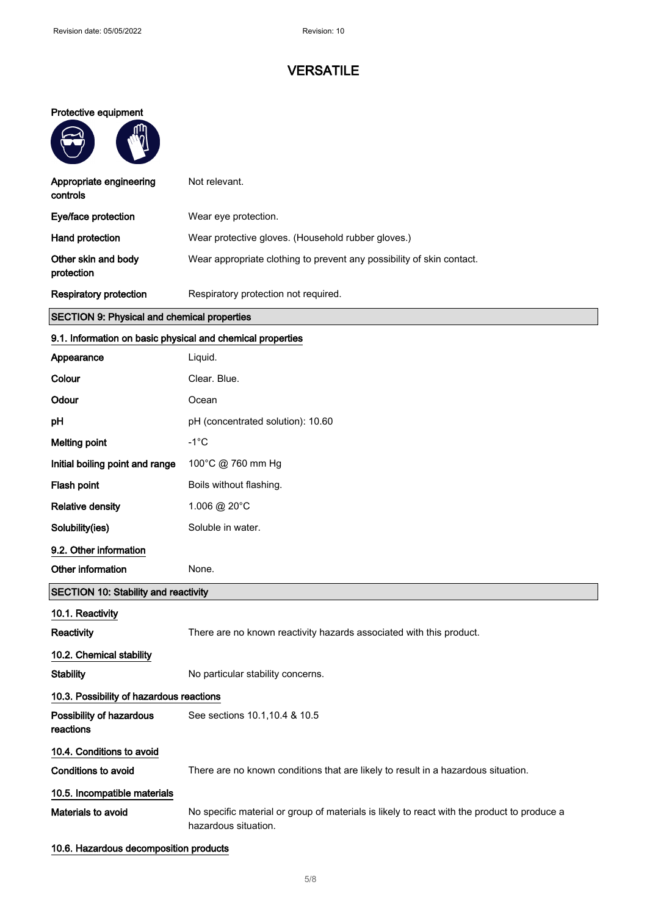## Protective equipment

 $\sqrt{u}$ 

 $\bigcap$ 

 $\overline{\phantom{a}}$ 

| Appropriate engineering<br>controls | Not relevant.                                                         |
|-------------------------------------|-----------------------------------------------------------------------|
| Eye/face protection                 | Wear eye protection.                                                  |
| Hand protection                     | Wear protective gloves. (Household rubber gloves.)                    |
| Other skin and body<br>protection   | Wear appropriate clothing to prevent any possibility of skin contact. |
| <b>Respiratory protection</b>       | Respiratory protection not required.                                  |

# SECTION 9: Physical and chemical properties

# 9.1. Information on basic physical and chemical properties

| Appearance                                  | Liquid.                                                                                                             |
|---------------------------------------------|---------------------------------------------------------------------------------------------------------------------|
| Colour                                      | Clear. Blue.                                                                                                        |
| Odour                                       | Ocean                                                                                                               |
| рH                                          | pH (concentrated solution): 10.60                                                                                   |
| <b>Melting point</b>                        | $-1^{\circ}C$                                                                                                       |
| Initial boiling point and range             | 100°C @ 760 mm Hg                                                                                                   |
| Flash point                                 | Boils without flashing.                                                                                             |
| <b>Relative density</b>                     | 1.006 @ 20°C                                                                                                        |
| Solubility(ies)                             | Soluble in water.                                                                                                   |
| 9.2. Other information                      |                                                                                                                     |
| Other information                           | None.                                                                                                               |
| <b>SECTION 10: Stability and reactivity</b> |                                                                                                                     |
| 10.1. Reactivity                            |                                                                                                                     |
| Reactivity                                  | There are no known reactivity hazards associated with this product.                                                 |
| 10.2. Chemical stability                    |                                                                                                                     |
| <b>Stability</b>                            | No particular stability concerns.                                                                                   |
| 10.3. Possibility of hazardous reactions    |                                                                                                                     |
| Possibility of hazardous<br>reactions       | See sections 10.1, 10.4 & 10.5                                                                                      |
| 10.4. Conditions to avoid                   |                                                                                                                     |
| Conditions to avoid                         | There are no known conditions that are likely to result in a hazardous situation.                                   |
| 10.5. Incompatible materials                |                                                                                                                     |
| Materials to avoid                          | No specific material or group of materials is likely to react with the product to produce a<br>hazardous situation. |
| 10.6. Hazardous decomposition products      |                                                                                                                     |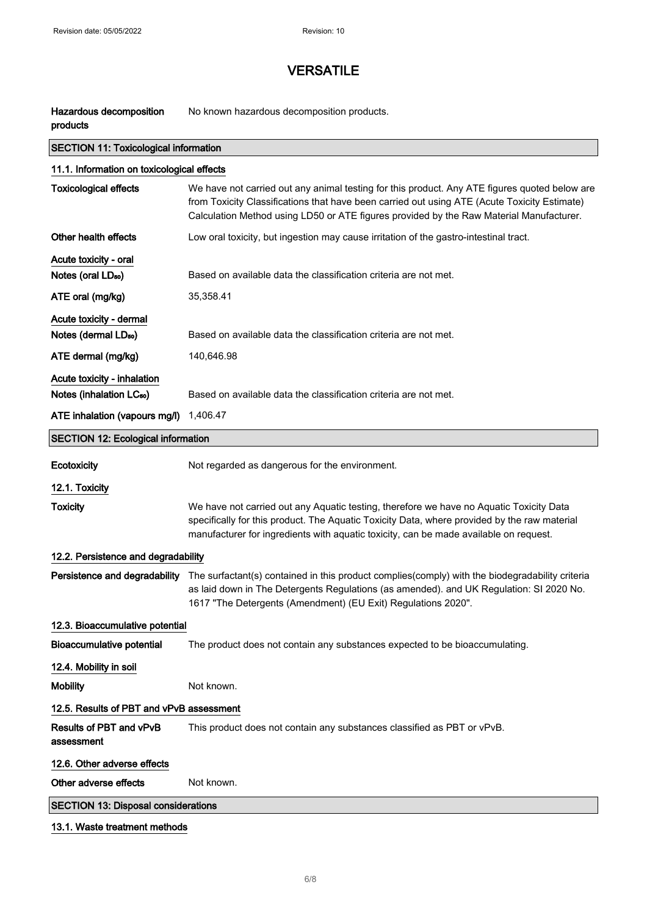Hazardous decomposition

# **VERSATILE**

No known hazardous decomposition products.

| products                                                            |                                                                                                                                                                                                                                                                                          |  |
|---------------------------------------------------------------------|------------------------------------------------------------------------------------------------------------------------------------------------------------------------------------------------------------------------------------------------------------------------------------------|--|
| <b>SECTION 11: Toxicological information</b>                        |                                                                                                                                                                                                                                                                                          |  |
| 11.1. Information on toxicological effects                          |                                                                                                                                                                                                                                                                                          |  |
| <b>Toxicological effects</b>                                        | We have not carried out any animal testing for this product. Any ATE figures quoted below are<br>from Toxicity Classifications that have been carried out using ATE (Acute Toxicity Estimate)<br>Calculation Method using LD50 or ATE figures provided by the Raw Material Manufacturer. |  |
| Other health effects                                                | Low oral toxicity, but ingestion may cause irritation of the gastro-intestinal tract.                                                                                                                                                                                                    |  |
| Acute toxicity - oral<br>Notes (oral LD <sub>50</sub> )             | Based on available data the classification criteria are not met.                                                                                                                                                                                                                         |  |
| ATE oral (mg/kg)                                                    | 35,358.41                                                                                                                                                                                                                                                                                |  |
| Acute toxicity - dermal<br>Notes (dermal LD <sub>50</sub> )         | Based on available data the classification criteria are not met.                                                                                                                                                                                                                         |  |
| ATE dermal (mg/kg)                                                  | 140,646.98                                                                                                                                                                                                                                                                               |  |
| Acute toxicity - inhalation<br>Notes (inhalation LC <sub>50</sub> ) | Based on available data the classification criteria are not met.                                                                                                                                                                                                                         |  |
| ATE inhalation (vapours mg/l)                                       | 1,406.47                                                                                                                                                                                                                                                                                 |  |
| <b>SECTION 12: Ecological information</b>                           |                                                                                                                                                                                                                                                                                          |  |
| <b>Ecotoxicity</b>                                                  | Not regarded as dangerous for the environment.                                                                                                                                                                                                                                           |  |
| 12.1. Toxicity                                                      |                                                                                                                                                                                                                                                                                          |  |
| <b>Toxicity</b>                                                     | We have not carried out any Aquatic testing, therefore we have no Aquatic Toxicity Data<br>specifically for this product. The Aquatic Toxicity Data, where provided by the raw material<br>manufacturer for ingredients with aquatic toxicity, can be made available on request.         |  |
| 12.2. Persistence and degradability                                 |                                                                                                                                                                                                                                                                                          |  |
| Persistence and degradability                                       | The surfactant(s) contained in this product complies(comply) with the biodegradability criteria<br>as laid down in The Detergents Regulations (as amended). and UK Regulation: SI 2020 No.<br>1617 "The Detergents (Amendment) (EU Exit) Regulations 2020".                              |  |
| 12.3. Bioaccumulative potential                                     |                                                                                                                                                                                                                                                                                          |  |
| <b>Bioaccumulative potential</b>                                    | The product does not contain any substances expected to be bioaccumulating.                                                                                                                                                                                                              |  |
| 12.4. Mobility in soil                                              |                                                                                                                                                                                                                                                                                          |  |
| <b>Mobility</b>                                                     | Not known.                                                                                                                                                                                                                                                                               |  |
| 12.5. Results of PBT and vPvB assessment                            |                                                                                                                                                                                                                                                                                          |  |
| Results of PBT and vPvB<br>assessment                               | This product does not contain any substances classified as PBT or vPvB.                                                                                                                                                                                                                  |  |
| 12.6. Other adverse effects                                         |                                                                                                                                                                                                                                                                                          |  |
| Other adverse effects                                               | Not known.                                                                                                                                                                                                                                                                               |  |
| <b>SECTION 13: Disposal considerations</b>                          |                                                                                                                                                                                                                                                                                          |  |
|                                                                     |                                                                                                                                                                                                                                                                                          |  |

## 13.1. Waste treatment methods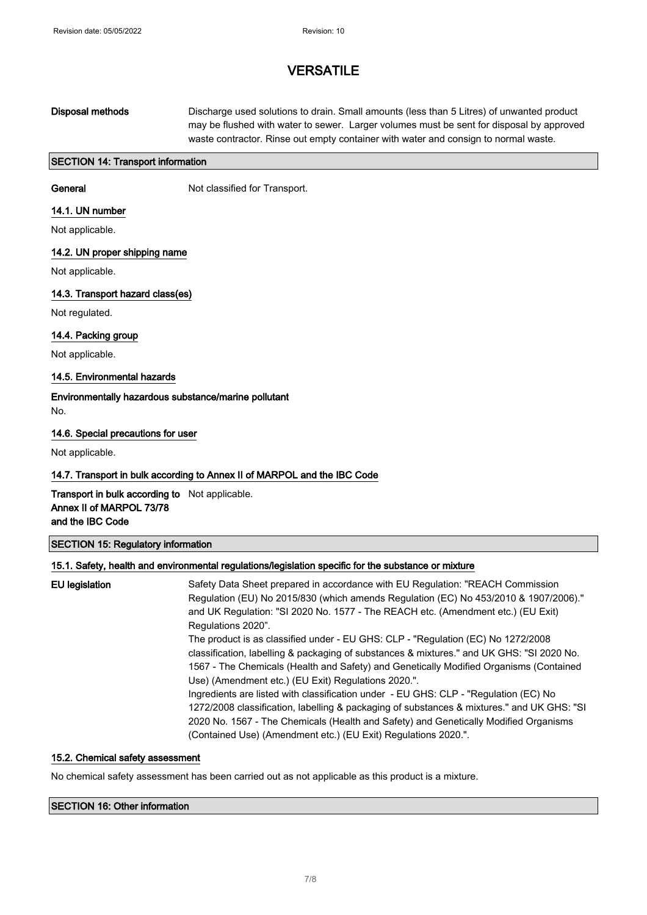# Disposal methods Discharge used solutions to drain. Small amounts (less than 5 Litres) of unwanted product may be flushed with water to sewer. Larger volumes must be sent for disposal by approved waste contractor. Rinse out empty container with water and consign to normal waste.

### SECTION 14: Transport information

General **General** Not classified for Transport.

### 14.1. UN number

Not applicable.

### 14.2. UN proper shipping name

Not applicable.

### 14.3. Transport hazard class(es)

Not regulated.

### 14.4. Packing group

Not applicable.

### 14.5. Environmental hazards

Environmentally hazardous substance/marine pollutant No.

### 14.6. Special precautions for user

Not applicable.

### 14.7. Transport in bulk according to Annex II of MARPOL and the IBC Code

## Transport in bulk according to Not applicable. Annex II of MARPOL 73/78 and the IBC Code

#### SECTION 15: Regulatory information

### 15.1. Safety, health and environmental regulations/legislation specific for the substance or mixture

# EU legislation Safety Data Sheet prepared in accordance with EU Regulation: "REACH Commission Regulation (EU) No 2015/830 (which amends Regulation (EC) No 453/2010 & 1907/2006)." and UK Regulation: "SI 2020 No. 1577 - The REACH etc. (Amendment etc.) (EU Exit) Regulations 2020". The product is as classified under - EU GHS: CLP - "Regulation (EC) No 1272/2008 classification, labelling & packaging of substances & mixtures." and UK GHS: "SI 2020 No. 1567 - The Chemicals (Health and Safety) and Genetically Modified Organisms (Contained Use) (Amendment etc.) (EU Exit) Regulations 2020.". Ingredients are listed with classification under - EU GHS: CLP - "Regulation (EC) No 1272/2008 classification, labelling & packaging of substances & mixtures." and UK GHS: "SI 2020 No. 1567 - The Chemicals (Health and Safety) and Genetically Modified Organisms (Contained Use) (Amendment etc.) (EU Exit) Regulations 2020.".

#### 15.2. Chemical safety assessment

No chemical safety assessment has been carried out as not applicable as this product is a mixture.

### SECTION 16: Other information